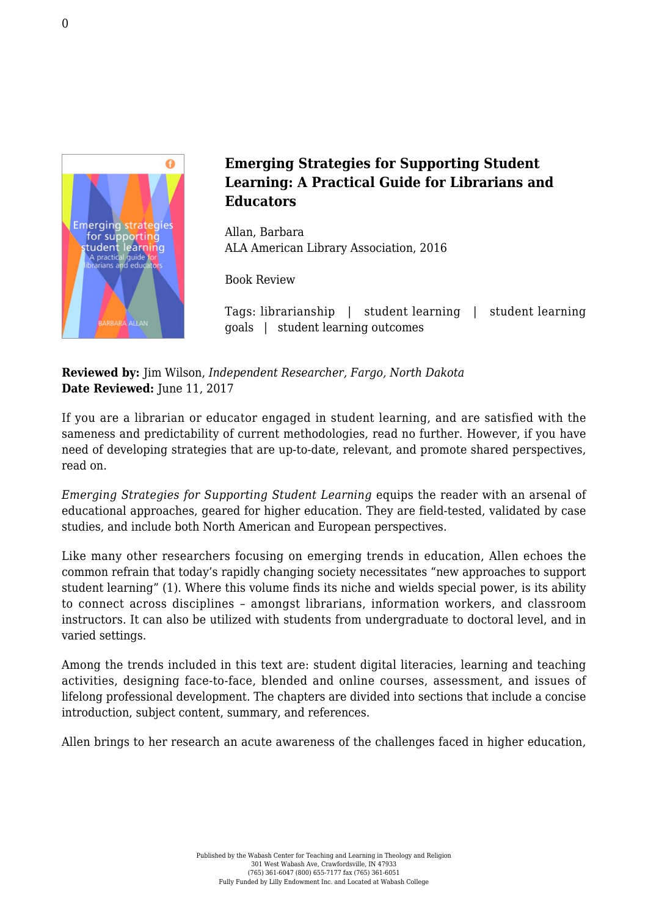

## **Emerging Strategies for Supporting Student Learning: A Practical Guide for Librarians and Educators**

Allan, Barbara [ALA American Library Association, 2016](http://www.alastore.ala.org/detail.aspx?ID=11688)

Book Review

Tags: librarianship | student learning | student learning goals | student learning outcomes

**Reviewed by:** Jim Wilson, *Independent Researcher, Fargo, North Dakota* Date Reviewed: June 11, 2017

If you are a librarian or educator engaged in student learning, and are satisfied with the sameness and predictability of current methodologies, read no further. However, if you have need of developing strategies that are up-to-date, relevant, and promote shared perspectives, read on.

*Emerging Strategies for Supporting Student Learning* equips the reader with an arsenal of educational approaches, geared for higher education. They are field-tested, validated by case studies, and include both North American and European perspectives.

Like many other researchers focusing on emerging trends in education, Allen echoes the common refrain that today's rapidly changing society necessitates "new approaches to support student learning" (1). Where this volume finds its niche and wields special power, is its ability to connect across disciplines – amongst librarians, information workers, and classroom instructors. It can also be utilized with students from undergraduate to doctoral level, and in varied settings.

Among the trends included in this text are: student digital literacies, learning and teaching activities, designing face-to-face, blended and online courses, assessment, and issues of lifelong professional development. The chapters are divided into sections that include a concise introduction, subject content, summary, and references.

Allen brings to her research an acute awareness of the challenges faced in higher education,